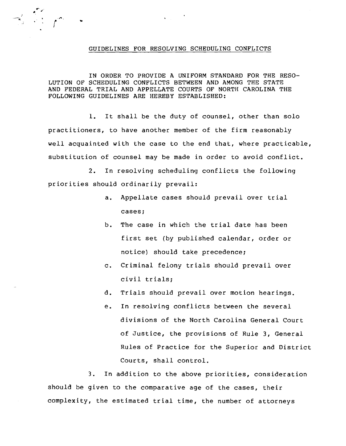## GUIDELINES FOR RESOLVING SCHEDULING CONFLICTS

IN ORDER TO PROVIDE A UNIFORM STANDARD FOR THE RESO-LUTION OF SCHEDULING CONFLICTS BETWEEN AND AMONG THE STATE AND FEDERAL TRIAL AND APPELLATE COURTS OF NORTH CAROLINA THE FOLLOWING GUIDELINES ARE HEREBY ESTABLISHED:

1. It shall be the duty of counsel, other than solo practitioners, to have another member of the firm reasonably well acquainted with the case to the end that, where practicable, substitution of counsel may be made in order to avoid conflict.

2. In resolving scheduling conflicts the following priorities should ordinarily prevail:

- a. Appellate cases should prevail over trial cases;
- b. The case in which the trial date has been first set (by published calendar, order or notice) should take precedence;
- c. Criminal felony trials should prevail over civil trials;
- d. Trials should prevail over motion hearings.
- e. In resolving conflicts between the several divisions of the North Carolina General Court of Justice, the provisions of Rule 3, General Rules of Practice for the Superior and District Courts, shall control.

3. In addition to the above priorities, consideration should be given to the comparative age of the cases, their complexity, the estimated trial time, the number of attorneys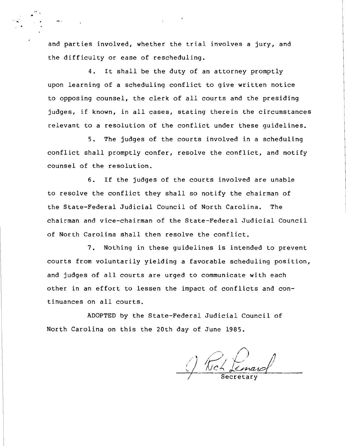and parties involved, whether the trial involves a jury, and the difficulty or ease of rescheduling.

4. It shall be the duty of an attorney promptly upon learning of a scheduling conflict to give written notice to opposing counsel, the clerk of all courts and the presiding judges, if known, in all cases, stating therein the circumstances relevant to a resolution of the conflict under these guidelines.

5. The judges of the courts involved in a scheduling conflict shall promptly confer, resolve the conflict, and notify counsel of the resolution.

6. If the judges of the courts involved are unable to resolve the conflict they shall so notify the chairman of the State-Federal Judicial Council of North Carolina. The chairman and vice-chairman of the State-Federal Judicial Council of North Carolina shall then resolve the conflict.

7. Nothing in these guidelines is intended to prevent courts from voluntarily yielding a favorable scheduling position, and judges of all courts are urged to communicate with each other in an effort to lessen the impact of conflicts and continuances on all courts.

ADOPTED by the State-Federal Judicial Council of North Carolina on this the 20th day of June 1985.

/'  $\sqrt{2}$ Secretary